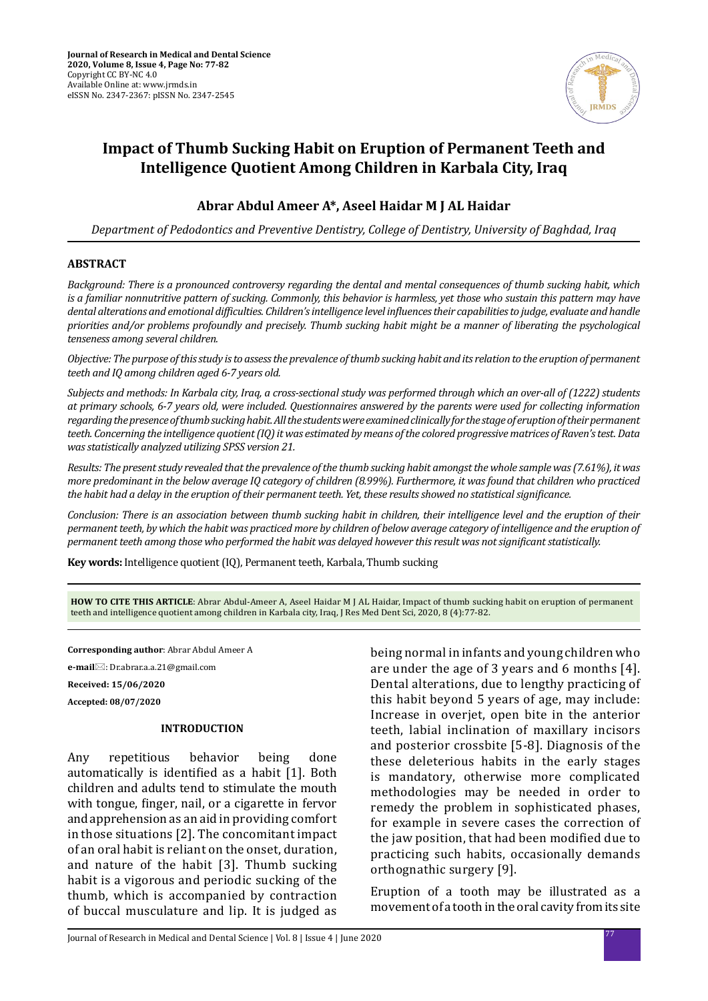

# **Impact of Thumb Sucking Habit on Eruption of Permanent Teeth and Intelligence Quotient Among Children in Karbala City, Iraq**

## **Abrar Abdul Ameer A\*, Aseel Haidar M J AL Haidar**

*Department of Pedodontics and Preventive Dentistry, College of Dentistry, University of Baghdad, Iraq*

### **ABSTRACT**

*Background: There is a pronounced controversy regarding the dental and mental consequences of thumb sucking habit, which is a familiar nonnutritive pattern of sucking. Commonly, this behavior is harmless, yet those who sustain this pattern may have dental alterations and emotional difficulties. Children's intelligence level influences their capabilities to judge, evaluate and handle priorities and/or problems profoundly and precisely. Thumb sucking habit might be a manner of liberating the psychological tenseness among several children.*

*Objective: The purpose of this study is to assess the prevalence of thumb sucking habit and its relation to the eruption of permanent teeth and IQ among children aged 6-7 years old.*

*Subjects and methods: In Karbala city, Iraq, a cross-sectional study was performed through which an over-all of (1222) students at primary schools, 6-7 years old, were included. Questionnaires answered by the parents were used for collecting information regarding the presence of thumb sucking habit. All the students were examined clinically for the stage of eruption of their permanent teeth. Concerning the intelligence quotient (IQ) it was estimated by means of the colored progressive matrices of Raven's test. Data was statistically analyzed utilizing SPSS version 21.*

*Results: The present study revealed that the prevalence of the thumb sucking habit amongst the whole sample was (7.61%), it was more predominant in the below average IQ category of children (8.99%). Furthermore, it was found that children who practiced the habit had a delay in the eruption of their permanent teeth. Yet, these results showed no statistical significance.*

*Conclusion: There is an association between thumb sucking habit in children, their intelligence level and the eruption of their permanent teeth, by which the habit was practiced more by children of below average category of intelligence and the eruption of permanent teeth among those who performed the habit was delayed however this result was not significant statistically.*

**Key words:** Intelligence quotient (IQ), Permanent teeth, Karbala, Thumb sucking

**HOW TO CITE THIS ARTICLE**: Abrar Abdul-Ameer A, Aseel Haidar M J AL Haidar, Impact of thumb sucking habit on eruption of permanent teeth and intelligence quotient among children in Karbala city, Iraq, J Res Med Dent Sci, 2020, 8 (4):77-82.

**Corresponding author**: Abrar Abdul Ameer A

**e-mail**: Dr.abrar.a.a.21@gmail.com

**Received: 15/06/2020**

**Accepted: 08/07/2020**

#### **INTRODUCTION**

Any repetitious behavior being done automatically is identified as a habit [1]. Both children and adults tend to stimulate the mouth with tongue, finger, nail, or a cigarette in fervor and apprehension as an aid in providing comfort in those situations [2]. The concomitant impact of an oral habit is reliant on the onset, duration, and nature of the habit [3]. Thumb sucking habit is a vigorous and periodic sucking of the thumb, which is accompanied by contraction of buccal musculature and lip. It is judged as

being normal in infants and young children who are under the age of 3 years and 6 months [4]. Dental alterations, due to lengthy practicing of this habit beyond 5 years of age, may include: Increase in overjet, open bite in the anterior teeth, labial inclination of maxillary incisors and posterior crossbite [5-8]. Diagnosis of the these deleterious habits in the early stages is mandatory, otherwise more complicated methodologies may be needed in order to remedy the problem in sophisticated phases, for example in severe cases the correction of the jaw position, that had been modified due to practicing such habits, occasionally demands orthognathic surgery [9].

Eruption of a tooth may be illustrated as a movement of a tooth in the oral cavity from its site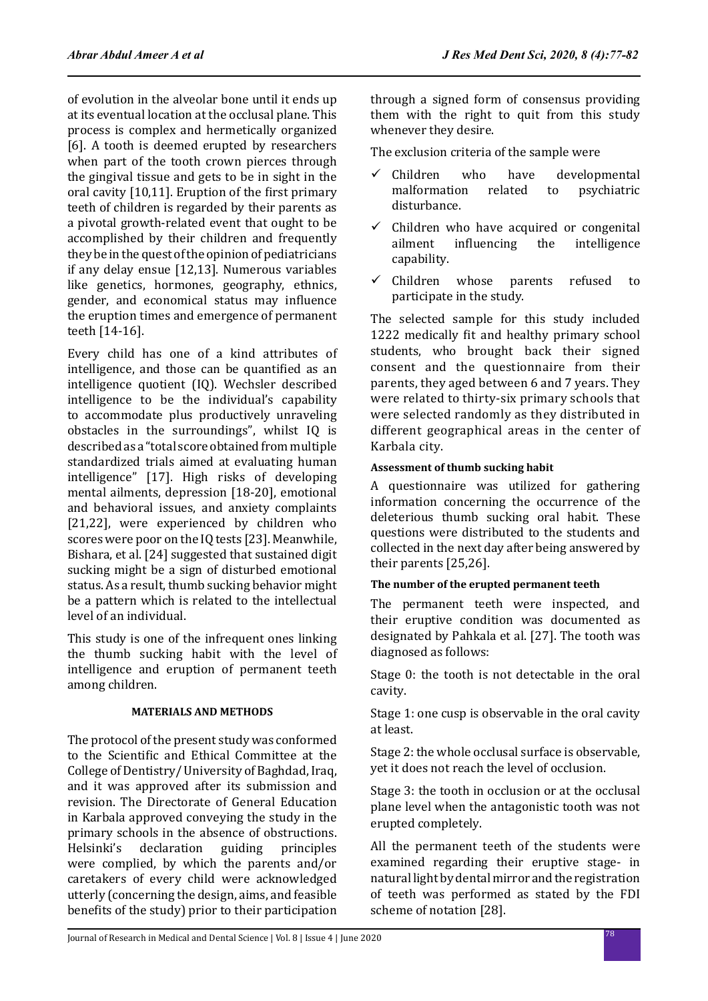of evolution in the alveolar bone until it ends up at its eventual location at the occlusal plane. This process is complex and hermetically organized [6]. A tooth is deemed erupted by researchers when part of the tooth crown pierces through the gingival tissue and gets to be in sight in the oral cavity [10,11]. Eruption of the first primary teeth of children is regarded by their parents as a pivotal growth-related event that ought to be accomplished by their children and frequently they be in the quest of the opinion of pediatricians if any delay ensue [12,13]. Numerous variables like genetics, hormones, geography, ethnics, gender, and economical status may influence the eruption times and emergence of permanent teeth [14-16].

Every child has one of a kind attributes of intelligence, and those can be quantified as an intelligence quotient (IQ). Wechsler described intelligence to be the individual's capability to accommodate plus productively unraveling obstacles in the surroundings", whilst IQ is described as a "total score obtained from multiple standardized trials aimed at evaluating human intelligence" [17]. High risks of developing mental ailments, depression [18-20], emotional and behavioral issues, and anxiety complaints [21,22], were experienced by children who scores were poor on the IQ tests [23]. Meanwhile, Bishara, et al. [24] suggested that sustained digit sucking might be a sign of disturbed emotional status. As a result, thumb sucking behavior might be a pattern which is related to the intellectual level of an individual.

This study is one of the infrequent ones linking the thumb sucking habit with the level of intelligence and eruption of permanent teeth among children.

## **MATERIALS AND METHODS**

The protocol of the present study was conformed to the Scientific and Ethical Committee at the College of Dentistry/ University of Baghdad, Iraq, and it was approved after its submission and revision. The Directorate of General Education in Karbala approved conveying the study in the primary schools in the absence of obstructions.<br>Helsinki's declaration guiding principles declaration were complied, by which the parents and/or caretakers of every child were acknowledged utterly (concerning the design, aims, and feasible benefits of the study) prior to their participation through a signed form of consensus providing them with the right to quit from this study whenever they desire.

The exclusion criteria of the sample were

- $\checkmark$  Children who have developmental malformation related to psychiatric malformation disturbance.
- $\checkmark$  Children who have acquired or congenital<br>ailment influencing the intelligence intelligence capability.
- $\checkmark$  Children whose parents refused to participate in the study.

The selected sample for this study included 1222 medically fit and healthy primary school students, who brought back their signed consent and the questionnaire from their parents, they aged between 6 and 7 years. They were related to thirty-six primary schools that were selected randomly as they distributed in different geographical areas in the center of Karbala city.

## **Assessment of thumb sucking habit**

A questionnaire was utilized for gathering information concerning the occurrence of the deleterious thumb sucking oral habit. These questions were distributed to the students and collected in the next day after being answered by their parents [25,26].

## **The number of the erupted permanent teeth**

The permanent teeth were inspected, and their eruptive condition was documented as designated by Pahkala et al. [27]. The tooth was diagnosed as follows:

Stage 0: the tooth is not detectable in the oral cavity.

Stage 1: one cusp is observable in the oral cavity at least.

Stage 2: the whole occlusal surface is observable, yet it does not reach the level of occlusion.

Stage 3: the tooth in occlusion or at the occlusal plane level when the antagonistic tooth was not erupted completely.

All the permanent teeth of the students were examined regarding their eruptive stage- in natural light by dental mirror and the registration of teeth was performed as stated by the FDI scheme of notation [28].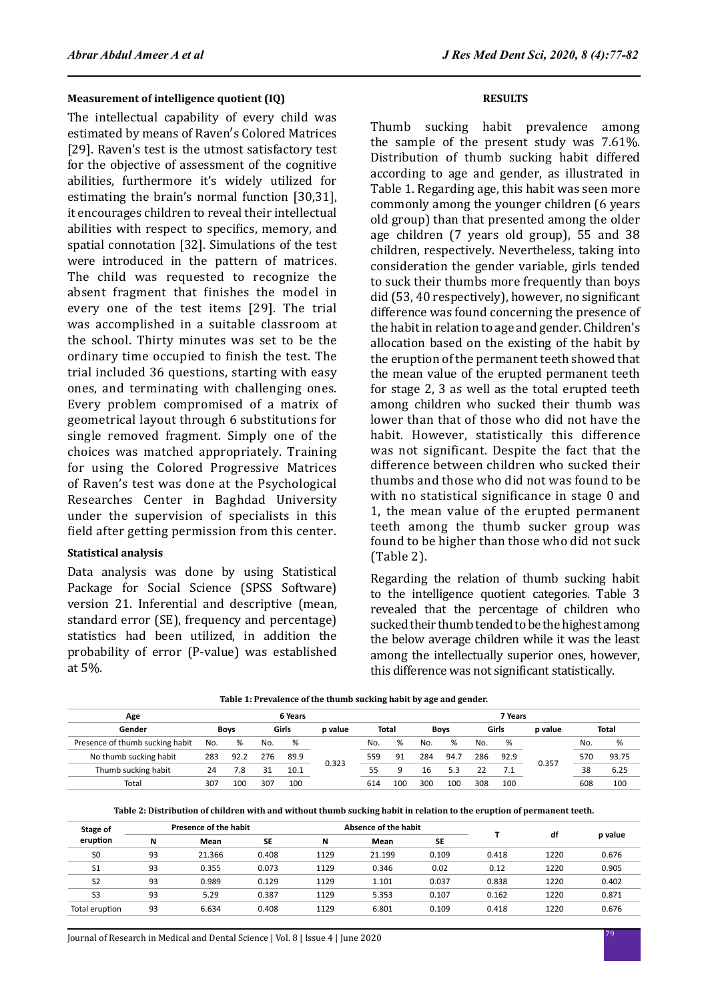#### **Measurement of intelligence quotient (IQ)**

The intellectual capability of every child was estimated by means of Raven′s Colored Matrices [29]. Raven's test is the utmost satisfactory test for the objective of assessment of the cognitive abilities, furthermore it's widely utilized for estimating the brain's normal function [30,31], it encourages children to reveal their intellectual abilities with respect to specifics, memory, and spatial connotation [32]. Simulations of the test were introduced in the pattern of matrices. The child was requested to recognize the absent fragment that finishes the model in every one of the test items [29]. The trial was accomplished in a suitable classroom at the school. Thirty minutes was set to be the ordinary time occupied to finish the test. The trial included 36 questions, starting with easy ones, and terminating with challenging ones. Every problem compromised of a matrix of geometrical layout through 6 substitutions for single removed fragment. Simply one of the choices was matched appropriately. Training for using the Colored Progressive Matrices of Raven's test was done at the Psychological Researches Center in Baghdad University under the supervision of specialists in this field after getting permission from this center.

### **Statistical analysis**

Data analysis was done by using Statistical Package for Social Science (SPSS Software) version 21. Inferential and descriptive (mean, standard error (SE), frequency and percentage) statistics had been utilized, in addition the probability of error (P-value) was established at 5%.

#### **RESULTS**

Thumb sucking habit prevalence among the sample of the present study was 7.61%. Distribution of thumb sucking habit differed according to age and gender, as illustrated in Table 1. Regarding age, this habit was seen more commonly among the younger children (6 years old group) than that presented among the older age children (7 years old group), 55 and 38 children, respectively. Nevertheless, taking into consideration the gender variable, girls tended to suck their thumbs more frequently than boys did (53, 40 respectively), however, no significant difference was found concerning the presence of the habit in relation to age and gender. Children's allocation based on the existing of the habit by the eruption of the permanent teeth showed that the mean value of the erupted permanent teeth for stage 2, 3 as well as the total erupted teeth among children who sucked their thumb was lower than that of those who did not have the habit. However, statistically this difference was not significant. Despite the fact that the difference between children who sucked their thumbs and those who did not was found to be with no statistical significance in stage 0 and 1, the mean value of the erupted permanent teeth among the thumb sucker group was found to be higher than those who did not suck (Table 2).

Regarding the relation of thumb sucking habit to the intelligence quotient categories. Table 3 revealed that the percentage of children who sucked their thumb tended to be the highest among the below average children while it was the least among the intellectually superior ones, however, this difference was not significant statistically.

| Table 1: Prevalence of the thumb sucking habit by age and gender. |  |
|-------------------------------------------------------------------|--|
|-------------------------------------------------------------------|--|

| Age                             |     |      |     | 6 Years |         |     |       |     |             |     | 7 Years |         |     |       |
|---------------------------------|-----|------|-----|---------|---------|-----|-------|-----|-------------|-----|---------|---------|-----|-------|
| Gender                          |     | Bovs |     | Girls   | p value |     | Total |     | <b>Boys</b> |     | Girls   | p value |     | Total |
| Presence of thumb sucking habit | No. | %    | No. | %       |         | No. | %     | No. | %           | No. | %       |         | No. | %     |
| No thumb sucking habit          | 283 | 92.2 | 276 | 89.9    | 0.323   | 559 | 91    | 284 | 94.7        | 286 | 92.9    | 0.357   | 570 | 93.75 |
| Thumb sucking habit             | 24  | 7.8  | 31  | 10.1    |         | 55  | Q     | 16  | 5.3         | 22  | 7.1     |         | 38  | 6.25  |
| Total                           | 307 | 100  | 307 | 100     |         | 614 | 100   | 300 | 100         | 308 | 100     |         | 608 | 100   |

**Table 2: Distribution of children with and without thumb sucking habit in relation to the eruption of permanent teeth.**

| Stage of                                                                         | Absence of the habit<br>Presence of the habit<br><b>SE</b><br>N<br>N<br>Mean<br>Mean<br>93<br>21.366<br>0.408<br>1129<br>21.199<br>93<br>0.073<br>1129<br>0.346<br>0.355<br>93<br>0.989<br>0.129<br>1129<br>1.101<br>93<br>5.353<br>5.29<br>0.387<br>1129 |       |       |      |       |           |       |      |         |
|----------------------------------------------------------------------------------|-----------------------------------------------------------------------------------------------------------------------------------------------------------------------------------------------------------------------------------------------------------|-------|-------|------|-------|-----------|-------|------|---------|
| eruption<br>S <sub>0</sub><br>S <sub>1</sub><br>S <sub>2</sub><br>S <sub>3</sub> |                                                                                                                                                                                                                                                           |       |       |      |       | <b>SE</b> |       | df   | p value |
|                                                                                  |                                                                                                                                                                                                                                                           |       |       |      |       | 0.109     | 0.418 | 1220 | 0.676   |
|                                                                                  |                                                                                                                                                                                                                                                           |       |       |      |       | 0.02      | 0.12  | 1220 | 0.905   |
|                                                                                  |                                                                                                                                                                                                                                                           |       |       |      |       | 0.037     | 0.838 | 1220 | 0.402   |
|                                                                                  |                                                                                                                                                                                                                                                           |       |       |      |       | 0.107     | 0.162 | 1220 | 0.871   |
| Total eruption                                                                   | 93                                                                                                                                                                                                                                                        | 6.634 | 0.408 | 1129 | 6.801 | 0.109     | 0.418 | 1220 | 0.676   |
|                                                                                  |                                                                                                                                                                                                                                                           |       |       |      |       |           |       |      |         |

<sup>79</sup> Journal of Research in Medical and Dental Science | Vol. 8 | Issue 4 | June 2020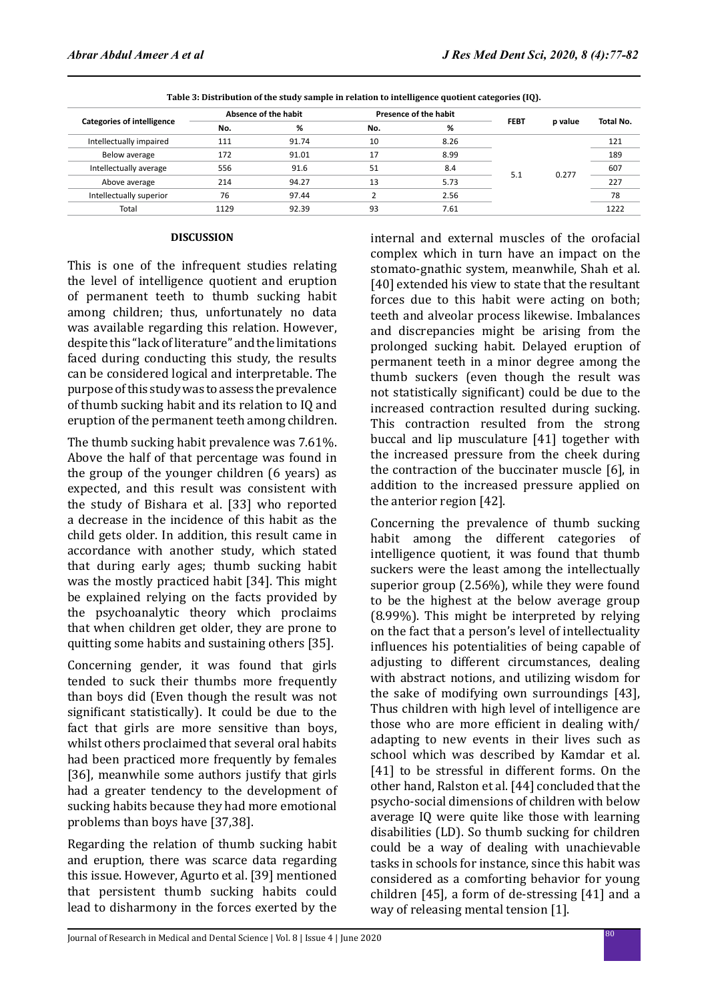|      |       |                      |      |                       | p value            | Total No. |
|------|-------|----------------------|------|-----------------------|--------------------|-----------|
| No.  | %     | No.                  | %    |                       |                    |           |
| 111  | 91.74 | 10                   | 8.26 |                       | 0.277              | 121       |
| 172  | 91.01 | 17                   | 8.99 |                       |                    | 189       |
| 556  | 91.6  | 51                   | 8.4  |                       |                    | 607       |
| 214  | 94.27 | 13                   | 5.73 |                       |                    | 227       |
| 76   | 97.44 |                      | 2.56 |                       |                    | 78        |
| 1129 | 92.39 | 93                   | 7.61 |                       |                    | 1222      |
|      |       | Absence of the habit |      | Presence of the habit | <b>FEBT</b><br>5.1 |           |

**Table 3: Distribution of the study sample in relation to intelligence quotient categories (IQ).**

#### **DISCUSSION**

This is one of the infrequent studies relating the level of intelligence quotient and eruption of permanent teeth to thumb sucking habit among children; thus, unfortunately no data was available regarding this relation. However, despite this "lack of literature" and the limitations faced during conducting this study, the results can be considered logical and interpretable. The purpose of this study was to assess the prevalence of thumb sucking habit and its relation to IQ and eruption of the permanent teeth among children.

The thumb sucking habit prevalence was 7.61%. Above the half of that percentage was found in the group of the younger children (6 years) as expected, and this result was consistent with the study of Bishara et al. [33] who reported a decrease in the incidence of this habit as the child gets older. In addition, this result came in accordance with another study, which stated that during early ages; thumb sucking habit was the mostly practiced habit [34]. This might be explained relying on the facts provided by the psychoanalytic theory which proclaims that when children get older, they are prone to quitting some habits and sustaining others [35].

Concerning gender, it was found that girls tended to suck their thumbs more frequently than boys did (Even though the result was not significant statistically). It could be due to the fact that girls are more sensitive than boys, whilst others proclaimed that several oral habits had been practiced more frequently by females [36], meanwhile some authors justify that girls had a greater tendency to the development of sucking habits because they had more emotional problems than boys have [37,38].

Regarding the relation of thumb sucking habit and eruption, there was scarce data regarding this issue. However, Agurto et al. [39] mentioned that persistent thumb sucking habits could lead to disharmony in the forces exerted by the internal and external muscles of the orofacial complex which in turn have an impact on the stomato-gnathic system, meanwhile, Shah et al. [40] extended his view to state that the resultant forces due to this habit were acting on both; teeth and alveolar process likewise. Imbalances and discrepancies might be arising from the prolonged sucking habit. Delayed eruption of permanent teeth in a minor degree among the thumb suckers (even though the result was not statistically significant) could be due to the increased contraction resulted during sucking. This contraction resulted from the strong buccal and lip musculature [41] together with the increased pressure from the cheek during the contraction of the buccinater muscle [6], in addition to the increased pressure applied on the anterior region [42].

Concerning the prevalence of thumb sucking habit among the different categories of intelligence quotient, it was found that thumb suckers were the least among the intellectually superior group (2.56%), while they were found to be the highest at the below average group (8.99%). This might be interpreted by relying on the fact that a person's level of intellectuality influences his potentialities of being capable of adjusting to different circumstances, dealing with abstract notions, and utilizing wisdom for the sake of modifying own surroundings [43], Thus children with high level of intelligence are those who are more efficient in dealing with/ adapting to new events in their lives such as school which was described by Kamdar et al. [41] to be stressful in different forms. On the other hand, Ralston et al. [44] concluded that the psycho-social dimensions of children with below average IQ were quite like those with learning disabilities (LD). So thumb sucking for children could be a way of dealing with unachievable tasks in schools for instance, since this habit was considered as a comforting behavior for young children [45], a form of de-stressing [41] and a way of releasing mental tension [1].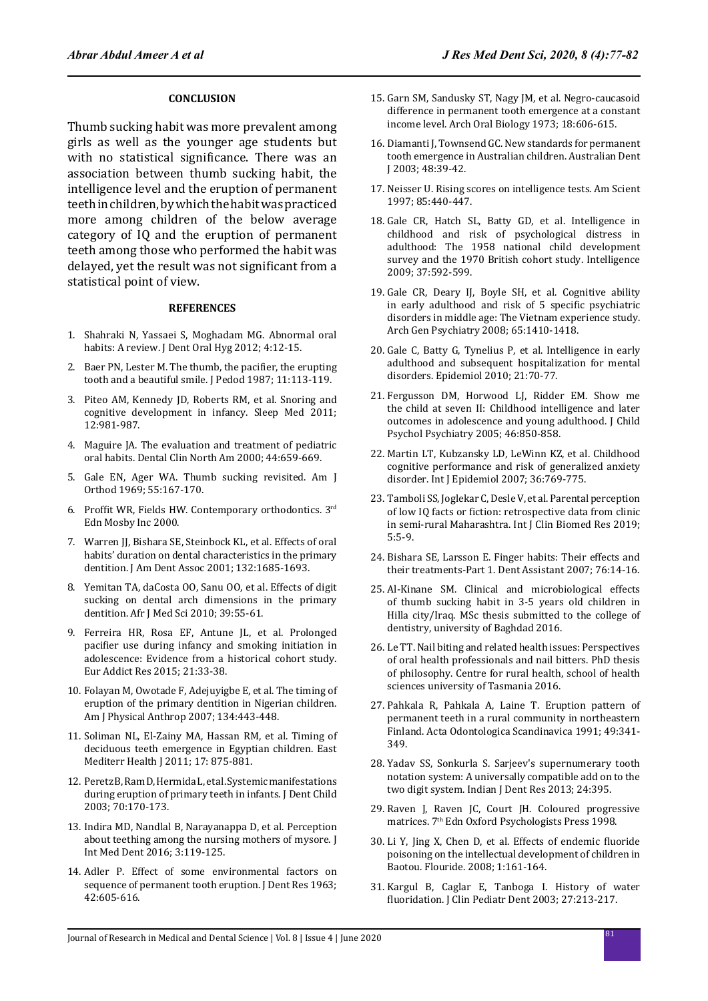#### **CONCLUSION**

Thumb sucking habit was more prevalent among girls as well as the younger age students but with no statistical significance. There was an association between thumb sucking habit, the intelligence level and the eruption of permanent teeth in children, by which the habit was practiced more among children of the below average category of IQ and the eruption of permanent teeth among those who performed the habit was delayed, yet the result was not significant from a statistical point of view.

#### **REFERENCES**

- 1. Shahraki N, Yassaei S, Moghadam MG. Abnormal oral habits: A review. J Dent Oral Hyg 2012; 4:12-15.
- 2. Baer PN, Lester M. The thumb, the pacifier, the erupting tooth and a beautiful smile. J Pedod 1987; 11:113-119.
- 3. Piteo AM, Kennedy JD, Roberts RM, et al. Snoring and cognitive development in infancy. Sleep Med 2011; 12:981‑987.
- 4. Maguire JA. The evaluation and treatment of pediatric oral habits. Dental Clin North Am 2000; 44:659-669.
- 5. Gale EN, Ager WA. Thumb sucking revisited. Am J Orthod 1969; 55:167-170.
- 6. Proffit WR, Fields HW. Contemporary orthodontics. 3rd Edn Mosby Inc 2000.
- 7. Warren JJ, Bishara SE, Steinbock KL, et al. Effects of oral habits' duration on dental characteristics in the primary dentition. J Am Dent Assoc 2001; 132:1685‑1693.
- 8. Yemitan TA, daCosta OO, Sanu OO, et al. Effects of digit sucking on dental arch dimensions in the primary dentition. Afr J Med Sci 2010; 39:55-61.
- 9. Ferreira HR, Rosa EF, Antune JL, et al. Prolonged pacifier use during infancy and smoking initiation in adolescence: Evidence from a historical cohort study. Eur Addict Res 2015; 21:33-38.
- 10. Folayan M, Owotade F, Adejuyigbe E, et al. The timing of eruption of the primary dentition in Nigerian children. Am J Physical Anthrop 2007; 134:443-448.
- 11. Soliman NL, El-Zainy MA, Hassan RM, et al. Timing of deciduous teeth emergence in Egyptian children. East Mediterr Health J 2011; 17: 875-881.
- 12. Peretz B, Ram D, Hermida L, et al. Systemic manifestations during eruption of primary teeth in infants. J Dent Child 2003; 70:170-173.
- 13. Indira MD, Nandlal B, Narayanappa D, et al. Perception about teething among the nursing mothers of mysore. J Int Med Dent 2016; 3:119-125.
- 14. Adler P. Effect of some environmental factors on sequence of permanent tooth eruption. J Dent Res 1963; 42:605-616.
- 15. Garn SM, Sandusky ST, Nagy JM, et al. Negro-caucasoid difference in permanent tooth emergence at a constant income level. Arch Oral Biology 1973; 18:606-615.
- 16. Diamanti J, Townsend GC. New standards for permanent tooth emergence in Australian children. Australian Dent J 2003; 48:39-42.
- 17. Neisser U. Rising scores on intelligence tests. Am Scient 1997; 85:440-447.
- 18. Gale CR, Hatch SL, Batty GD, et al. Intelligence in childhood and risk of psychological distress in adulthood: The 1958 national child development survey and the 1970 British cohort study. Intelligence 2009; 37:592-599.
- 19. Gale CR, Deary IJ, Boyle SH, et al. Cognitive ability in early adulthood and risk of 5 specific psychiatric disorders in middle age: The Vietnam experience study. Arch Gen Psychiatry 2008; 65:1410-1418.
- 20. Gale C, Batty G, Tynelius P, et al. Intelligence in early adulthood and subsequent hospitalization for mental disorders. Epidemiol 2010; 21:70-77.
- 21. Fergusson DM, Horwood LJ, Ridder EM. Show me the child at seven II: Childhood intelligence and later outcomes in adolescence and young adulthood. J Child Psychol Psychiatry 2005; 46:850-858.
- 22. Martin LT, Kubzansky LD, LeWinn KZ, et al. Childhood cognitive performance and risk of generalized anxiety disorder. Int J Epidemiol 2007; 36:769-775.
- 23. Tamboli SS, Joglekar C, Desle V, et al. Parental perception of low IQ facts or fiction: retrospective data from clinic in semi-rural Maharashtra. Int J Clin Biomed Res 2019; 5:5-9.
- 24. Bishara SE, Larsson E. Finger habits: Their effects and their treatments-Part 1. Dent Assistant 2007; 76:14-16.
- 25. Al-Kinane SM. Clinical and microbiological effects of thumb sucking habit in 3-5 years old children in Hilla city/Iraq. MSc thesis submitted to the college of dentistry, university of Baghdad 2016.
- 26. Le TT. Nail biting and related health issues: Perspectives of oral health professionals and nail bitters. PhD thesis of philosophy. Centre for rural health, school of health sciences university of Tasmania 2016.
- 27. Pahkala R, Pahkala A, Laine T. Eruption pattern of permanent teeth in a rural community in northeastern Finland. Acta Odontologica Scandinavica 1991; 49:341- 349.
- 28. Yadav SS, Sonkurla S. Sarjeev's supernumerary tooth notation system: A universally compatible add on to the two digit system. Indian J Dent Res 2013; 24:395.
- 29. Raven J, Raven JC, Court JH. Coloured progressive matrices. 7<sup>th</sup> Edn Oxford Psychologists Press 1998.
- 30. Li Y, Jing X, Chen D, et al. Effects of endemic fluoride poisoning on the intellectual development of children in Baotou. Flouride. 2008; 1:161-164.
- 31. Kargul B, Caglar E, Tanboga I. History of water fluoridation. J Clin Pediatr Dent 2003; 27:213-217.